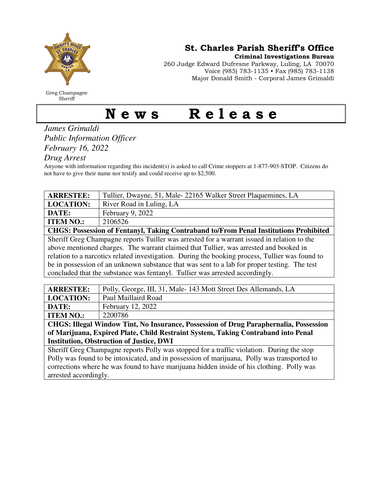

Greg Champagne Sheriff

St. Charles Parish Sheriff's Office

Criminal Investigations Bureau

260 Judge Edward Dufresne Parkway, Luling, LA 70070 Voice (985) 783-1135 • Fax (985) 783-1138 Major Donald Smith - Corporal James Grimaldi

## News Release

## *James Grimaldi Public Information Officer February 16, 2022*

*Drug Arrest* 

Anyone with information regarding this incident(s) is asked to call Crime stoppers at 1-877-903-STOP. Citizens do not have to give their name nor testify and could receive up to \$2,500.

| <b>ARRESTEE:</b>                                                                                | Tullier, Dwayne, 51, Male-22165 Walker Street Plaquemines, LA |  |
|-------------------------------------------------------------------------------------------------|---------------------------------------------------------------|--|
| <b>LOCATION:</b>                                                                                | River Road in Luling, LA                                      |  |
| DATE:                                                                                           | February 9, 2022                                              |  |
| <b>ITEM NO.:</b>                                                                                | 2106526                                                       |  |
| CHGS: Possession of Fentanyl, Taking Contraband to/From Penal Institutions Prohibited           |                                                               |  |
| Sheriff Greg Champagne reports Tuiller was arrested for a warrant issued in relation to the     |                                                               |  |
| above mentioned charges. The warrant claimed that Tullier, was arrested and booked in           |                                                               |  |
| relation to a narcotics related investigation. During the booking process, Tullier was found to |                                                               |  |
| be in possession of an unknown substance that was sent to a lab for proper testing. The test    |                                                               |  |
| concluded that the substance was fentanyl. Tullier was arrested accordingly.                    |                                                               |  |

| <b>ARRESTEE:</b>                                                                      | Polly, George, III, 31, Male-143 Mott Street Des Allemands, LA |  |
|---------------------------------------------------------------------------------------|----------------------------------------------------------------|--|
| <b>LOCATION:</b>                                                                      | Paul Maillaird Road                                            |  |
| DATE:                                                                                 | <b>February 12, 2022</b>                                       |  |
| <b>ITEM NO.:</b>                                                                      | 2200786                                                        |  |
| $\sim$ $\sim$ $\sim$ $\sim$ $\sim$<br>_________<br>$\sim$ $\sim$<br>-------<br>$\sim$ |                                                                |  |

**CHGS: Illegal Window Tint, No Insurance, Possession of Drug Paraphernalia, Possession of Marijuana, Expired Plate, Child Restraint System, Taking Contraband into Penal Institution, Obstruction of Justice, DWI** 

Sheriff Greg Champagne reports Polly was stopped for a traffic violation. During the stop Polly was found to be intoxicated, and in possession of marijuana, Polly was transported to corrections where he was found to have marijuana hidden inside of his clothing. Polly was arrested accordingly.